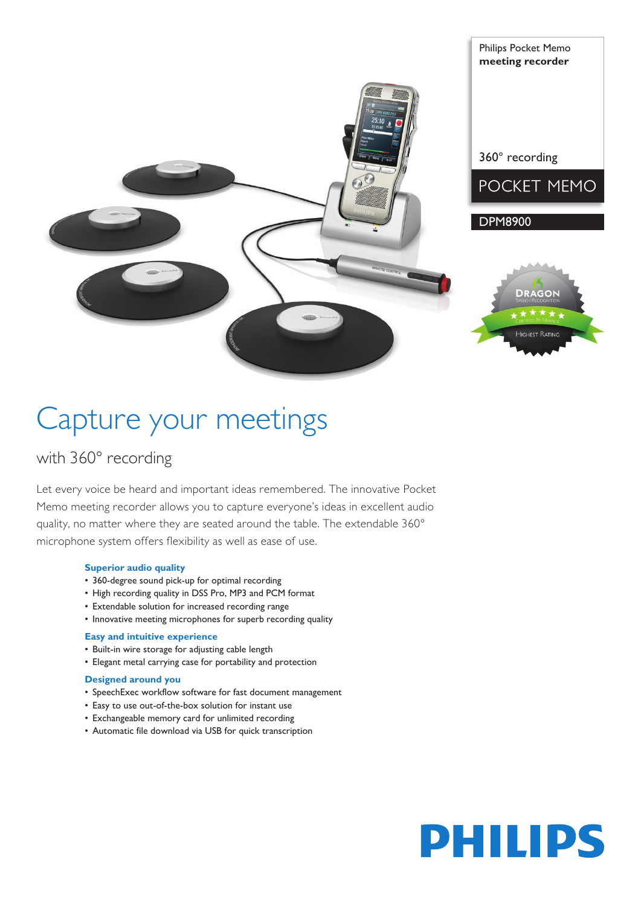



Philips Pocket Memo **meeting recorder**



# Capture your meetings

### with 360° recording

Let every voice be heard and important ideas remembered. The innovative Pocket Memo meeting recorder allows you to capture everyone's ideas in excellent audio quality, no matter where they are seated around the table. The extendable 360° microphone system offers flexibility as well as ease of use.

#### **Superior audio quality**

- • 360-degree sound pick-up for optimal recording
- High recording quality in DSS Pro, MP3 and PCM format
- Extendable solution for increased recording range
- Innovative meeting microphones for superb recording quality

#### **Easy and intuitive experience**

- • Built-in wire storage for adjusting cable length
- • Elegant metal carrying case for portability and protection

#### **Designed around you**

- • SpeechExec workflow software for fast document management
- • Easy to use out-of-the-box solution for instant use
- Exchangeable memory card for unlimited recording
- • Automatic file download via USB for quick transcription

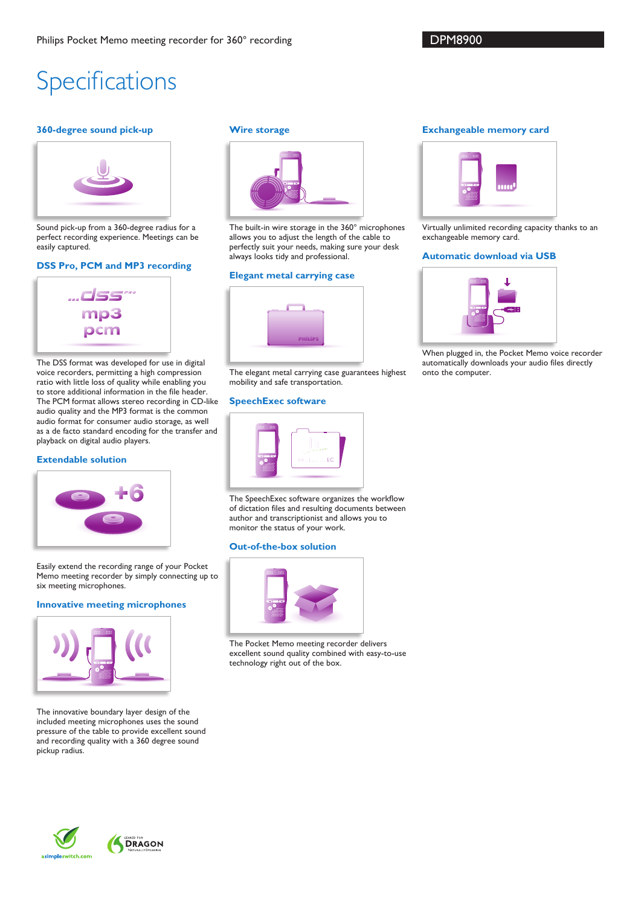### Specifications

#### **360-degree sound pick-up**



Sound pick-up from a 360-degree radius for a perfect recording experience. Meetings can be easily captured.

#### **DSS Pro, PCM and MP3 recording**



The DSS format was developed for use in digital voice recorders, permitting a high compression ratio with little loss of quality while enabling you to store additional information in the file header. The PCM format allows stereo recording in CD-like audio quality and the MP3 format is the common audio format for consumer audio storage, as well as a de facto standard encoding for the transfer and playback on digital audio players.

#### **Extendable solution**



Easily extend the recording range of your Pocket Memo meeting recorder by simply connecting up to six meeting microphones.

#### **Innovative meeting microphones**



The innovative boundary layer design of the included meeting microphones uses the sound pressure of the table to provide excellent sound and recording quality with a 360 degree sound pickup radius.

#### **Wire storage**



The built-in wire storage in the 360° microphones allows you to adjust the length of the cable to perfectly suit your needs, making sure your desk always looks tidy and professional.

#### **Elegant metal carrying case**



The elegant metal carrying case guarantees highest mobility and safe transportation.

#### **SpeechExec software**



The SpeechExec software organizes the workflow of dictation files and resulting documents between author and transcriptionist and allows you to monitor the status of your work.

#### **Out-of-the-box solution**



The Pocket Memo meeting recorder delivers excellent sound quality combined with easy-to-use technology right out of the box.

#### **Exchangeable memory card**



Virtually unlimited recording capacity thanks to an exchangeable memory card.

#### **Automatic download via USB**



When plugged in, the Pocket Memo voice recorder automatically downloads your audio files directly onto the computer.

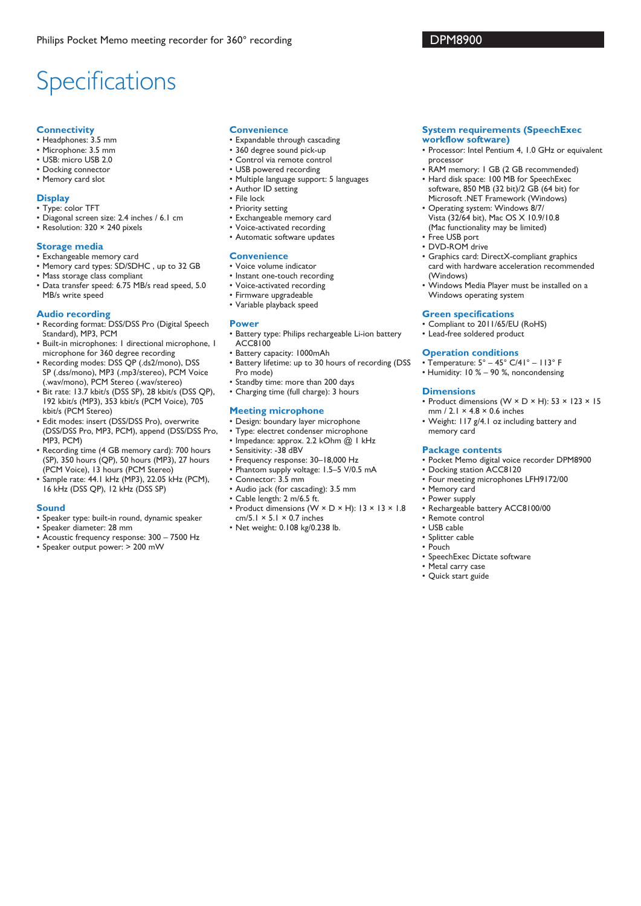## **Specifications**

#### **Connectivity**

- • Headphones: 3.5 mm
- • Microphone: 3.5 mm
- • USB: micro USB 2.0
- • Docking connector • Memory card slot
- 

#### **Display**

- • Type: color TFT
- • Diagonal screen size: 2.4 inches / 6.1 cm
- Resolution: 320 × 240 pixels

#### **Storage media**

- • Exchangeable memory card
- Memory card types: SD/SDHC, up to 32 GB
- • Mass storage class compliant
- • Data transfer speed: 6.75 MB/s read speed, 5.0 MB/s write speed

#### **Audio recording**

- Recording format: DSS/DSS Pro (Digital Speech Standard), MP3, PCM
- • Built-in microphones: 1 directional microphone, 1 microphone for 360 degree recording
- • Recording modes: DSS QP (.ds2/mono), DSS SP (.dss/mono), MP3 (.mp3/stereo), PCM Voice (.wav/mono), PCM Stereo (.wav/stereo)
- • Bit rate: 13.7 kbit/s (DSS SP), 28 kbit/s (DSS QP), 192 kbit/s (MP3), 353 kbit/s (PCM Voice), 705 kbit/s (PCM Stereo)
- • Edit modes: insert (DSS/DSS Pro), overwrite (DSS/DSS Pro, MP3, PCM), append (DSS/DSS Pro, MP3, PCM)
- • Recording time (4 GB memory card): 700 hours (SP), 350 hours (QP), 50 hours (MP3), 27 hours (PCM Voice), 13 hours (PCM Stereo)
- • Sample rate: 44.1 kHz (MP3), 22.05 kHz (PCM), 16 kHz (DSS QP), 12 kHz (DSS SP)

#### **Sound**

- • Speaker type: built-in round, dynamic speaker
- • Speaker diameter: 28 mm
- • Acoustic frequency response: 300 7500 Hz
- • Speaker output power: > 200 mW

#### **Convenience**

- • Expandable through cascading
- • 360 degree sound pick-up
- • Control via remote control
- • USB powered recording
- • Multiple language support: 5 languages • Author ID setting
- • File lock
- • Priority setting
- • Exchangeable memory card
- • Voice-activated recording
- • Automatic software updates

#### **Convenience**

- • Voice volume indicator
- Instant one-touch recording
- • Voice-activated recording
- • Firmware upgradeable
- • Variable playback speed

#### **Power**

- • Battery type: Philips rechargeable Li-ion battery ACC8100
- • Battery capacity: 1000mAh
- • Battery lifetime: up to 30 hours of recording (DSS Pro mode)
- • Standby time: more than 200 days
- • Charging time (full charge): 3 hours

#### **Meeting microphone**

- • Design: boundary layer microphone
- • Type: electret condenser microphone
- Impedance: approx. 2.2 kOhm @ 1 kHz
- • Sensitivity: -38 dBV
- • Frequency response: 30–18,000 Hz
- • Phantom supply voltage: 1.5–5 V/0.5 mA
- • Connector: 3.5 mm
- • Audio jack (for cascading): 3.5 mm
- • Cable length: 2 m/6.5 ft.
- • Product dimensions (W × D × H): 13 × 13 × 1.8 cm/5.1  $\times$  5.1  $\times$  0.7 inches
- • Net weight: 0.108 kg/0.238 lb.

#### **System requirements (SpeechExec**

- **workflow software)**
- Processor: Intel Pentium 4, 1.0 GHz or equivalent processor
- RAM memory: 1 GB (2 GB recommended) • Hard disk space: 100 MB for SpeechExec
- software, 850 MB (32 bit)/2 GB (64 bit) for Microsoft .NET Framework (Windows)
- • Operating system: Windows 8/7/ Vista (32/64 bit), Mac OS X 10.9/10.8
- (Mac functionality may be limited)
- • Free USB port
- DVD-ROM drive
- • Graphics card: DirectX-compliant graphics card with hardware acceleration recommended (Windows)
- • Windows Media Player must be installed on a Windows operating system

#### **Green specifications**

- • Compliant to 2011/65/EU (RoHS)
- • Lead-free soldered product

#### **Operation conditions**

- Temperature: 5° 45° C/41° 113° F
- Humidity: 10 % 90 %, noncondensing

#### **Dimensions**

- Product dimensions ( $W \times D \times H$ ): 53  $\times$  123  $\times$  15 mm / 2.1 × 4.8 × 0.6 inches
- Weight: 117 g/4.1 oz including battery and memory card

#### **Package contents**

- • Pocket Memo digital voice recorder DPM8900
- Docking station ACC8120
- • Four meeting microphones LFH9172/00
- • Memory card
- • Power supply
- • Rechargeable battery ACC8100/00
- • Remote control
- • USB cable
- • Splitter cable • Pouch
- 
- • SpeechExec Dictate software
- • Metal carry case
- • Quick start guide